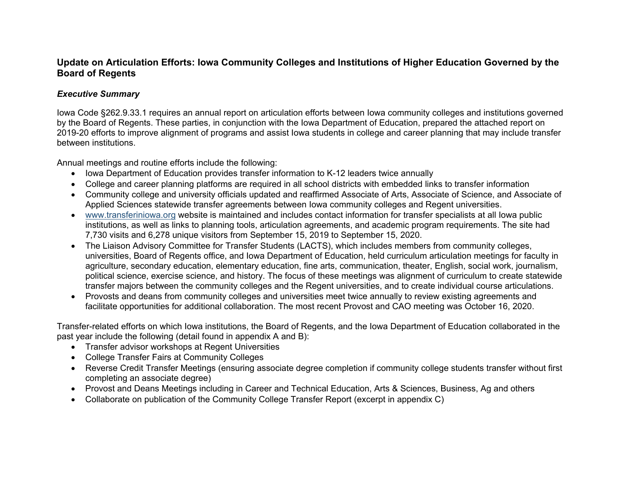## **Update on Articulation Efforts: Iowa Community Colleges and Institutions of Higher Education Governed by the Board of Regents**

## *Executive Summary*

Iowa Code §262.9.33.1 requires an annual report on articulation efforts between Iowa community colleges and institutions governed by the Board of Regents. These parties, in conjunction with the Iowa Department of Education, prepared the attached report on 2019-20 efforts to improve alignment of programs and assist Iowa students in college and career planning that may include transfer between institutions.

Annual meetings and routine efforts include the following:

- Iowa Department of Education provides transfer information to K-12 leaders twice annually
- College and career planning platforms are required in all school districts with embedded links to transfer information
- Community college and university officials updated and reaffirmed Associate of Arts, Associate of Science, and Associate of Applied Sciences statewide transfer agreements between Iowa community colleges and Regent universities.
- [www.transferiniowa.org](http://www.transferiniowa.org/) website is maintained and includes contact information for transfer specialists at all Iowa public institutions, as well as links to planning tools, articulation agreements, and academic program requirements. The site had 7,730 visits and 6,278 unique visitors from September 15, 2019 to September 15, 2020.
- The Liaison Advisory Committee for Transfer Students (LACTS), which includes members from community colleges, universities, Board of Regents office, and Iowa Department of Education, held curriculum articulation meetings for faculty in agriculture, secondary education, elementary education, fine arts, communication, theater, English, social work, journalism, political science, exercise science, and history. The focus of these meetings was alignment of curriculum to create statewide transfer majors between the community colleges and the Regent universities, and to create individual course articulations.
- Provosts and deans from community colleges and universities meet twice annually to review existing agreements and facilitate opportunities for additional collaboration. The most recent Provost and CAO meeting was October 16, 2020.

Transfer-related efforts on which Iowa institutions, the Board of Regents, and the Iowa Department of Education collaborated in the past year include the following (detail found in appendix A and B):

- Transfer advisor workshops at Regent Universities
- College Transfer Fairs at Community Colleges
- Reverse Credit Transfer Meetings (ensuring associate degree completion if community college students transfer without first completing an associate degree)
- Provost and Deans Meetings including in Career and Technical Education, Arts & Sciences, Business, Ag and others
- Collaborate on publication of the Community College Transfer Report (excerpt in appendix C)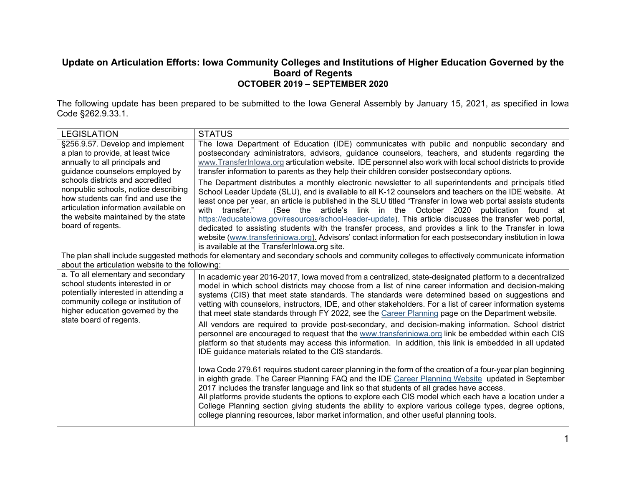## **Update on Articulation Efforts: Iowa Community Colleges and Institutions of Higher Education Governed by the Board of Regents OCTOBER 2019 – SEPTEMBER 2020**

The following update has been prepared to be submitted to the Iowa General Assembly by January 15, 2021, as specified in Iowa Code §262.9.33.1.

| <b>LEGISLATION</b>                                                                                                                                                                                                                                                                                                                                               | <b>STATUS</b>                                                                                                                                                                                                                                                                                                                                                                                                                                                                                                                                                                                                                                                                                                                                                                                                    |  |  |  |  |  |
|------------------------------------------------------------------------------------------------------------------------------------------------------------------------------------------------------------------------------------------------------------------------------------------------------------------------------------------------------------------|------------------------------------------------------------------------------------------------------------------------------------------------------------------------------------------------------------------------------------------------------------------------------------------------------------------------------------------------------------------------------------------------------------------------------------------------------------------------------------------------------------------------------------------------------------------------------------------------------------------------------------------------------------------------------------------------------------------------------------------------------------------------------------------------------------------|--|--|--|--|--|
| §256.9.57. Develop and implement<br>a plan to provide, at least twice<br>annually to all principals and<br>guidance counselors employed by<br>schools districts and accredited<br>nonpublic schools, notice describing<br>how students can find and use the<br>articulation information available on<br>the website maintained by the state<br>board of regents. | The Iowa Department of Education (IDE) communicates with public and nonpublic secondary and<br>postsecondary administrators, advisors, guidance counselors, teachers, and students regarding the<br>www.TransferInlowa.org articulation website. IDE personnel also work with local school districts to provide<br>transfer information to parents as they help their children consider postsecondary options.                                                                                                                                                                                                                                                                                                                                                                                                   |  |  |  |  |  |
|                                                                                                                                                                                                                                                                                                                                                                  | The Department distributes a monthly electronic newsletter to all superintendents and principals titled<br>School Leader Update (SLU), and is available to all K-12 counselors and teachers on the IDE website. At<br>least once per year, an article is published in the SLU titled "Transfer in lowa web portal assists students<br>(See the article's link in the October 2020 publication found at<br>transfer."<br>with<br>https://educateiowa.gov/resources/school-leader-update). This article discusses the transfer web portal,<br>dedicated to assisting students with the transfer process, and provides a link to the Transfer in lowa<br>website (www.transferiniowa.org). Advisors' contact information for each postsecondary institution in lowa<br>is available at the TransferInlowa.org site. |  |  |  |  |  |
| about the articulation website to the following:                                                                                                                                                                                                                                                                                                                 | The plan shall include suggested methods for elementary and secondary schools and community colleges to effectively communicate information                                                                                                                                                                                                                                                                                                                                                                                                                                                                                                                                                                                                                                                                      |  |  |  |  |  |
| a. To all elementary and secondary<br>school students interested in or<br>potentially interested in attending a<br>community college or institution of<br>higher education governed by the<br>state board of regents.                                                                                                                                            | In academic year 2016-2017, lowa moved from a centralized, state-designated platform to a decentralized<br>model in which school districts may choose from a list of nine career information and decision-making<br>systems (CIS) that meet state standards. The standards were determined based on suggestions and<br>vetting with counselors, instructors, IDE, and other stakeholders. For a list of career information systems<br>that meet state standards through FY 2022, see the Career Planning page on the Department website.                                                                                                                                                                                                                                                                         |  |  |  |  |  |
|                                                                                                                                                                                                                                                                                                                                                                  | All vendors are required to provide post-secondary, and decision-making information. School district<br>personnel are encouraged to request that the www.transferiniowa.org link be embedded within each CIS<br>platform so that students may access this information. In addition, this link is embedded in all updated<br>IDE guidance materials related to the CIS standards.                                                                                                                                                                                                                                                                                                                                                                                                                                 |  |  |  |  |  |
|                                                                                                                                                                                                                                                                                                                                                                  | lowa Code 279.61 requires student career planning in the form of the creation of a four-year plan beginning<br>in eighth grade. The Career Planning FAQ and the IDE Career Planning Website updated in September<br>2017 includes the transfer language and link so that students of all grades have access.<br>All platforms provide students the options to explore each CIS model which each have a location under a<br>College Planning section giving students the ability to explore various college types, degree options,<br>college planning resources, labor market information, and other useful planning tools.                                                                                                                                                                                      |  |  |  |  |  |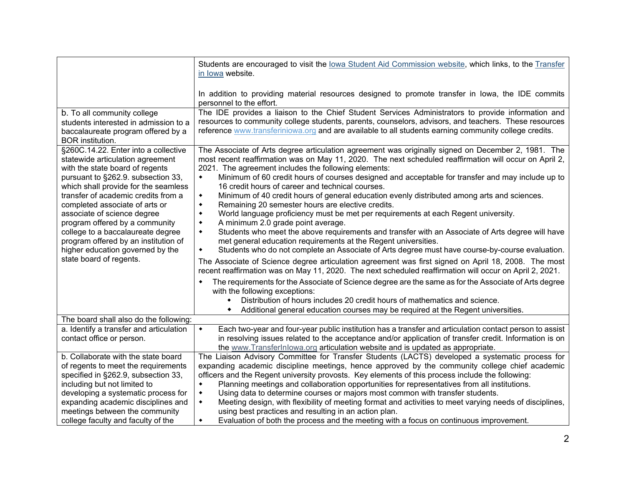|                                                                                                                                       | Students are encouraged to visit the lowa Student Aid Commission website, which links, to the Transfer<br>in lowa website.                                                                                                                                                                                            |  |  |  |  |  |  |  |
|---------------------------------------------------------------------------------------------------------------------------------------|-----------------------------------------------------------------------------------------------------------------------------------------------------------------------------------------------------------------------------------------------------------------------------------------------------------------------|--|--|--|--|--|--|--|
|                                                                                                                                       | In addition to providing material resources designed to promote transfer in lowa, the IDE commits<br>personnel to the effort.                                                                                                                                                                                         |  |  |  |  |  |  |  |
| b. To all community college<br>students interested in admission to a<br>baccalaureate program offered by a<br><b>BOR</b> institution. | The IDE provides a liaison to the Chief Student Services Administrators to provide information and<br>resources to community college students, parents, counselors, advisors, and teachers. These resources<br>reference www.transferiniowa.org and are available to all students earning community college credits.  |  |  |  |  |  |  |  |
| §260C.14.22. Enter into a collective<br>statewide articulation agreement<br>with the state board of regents                           | The Associate of Arts degree articulation agreement was originally signed on December 2, 1981. The<br>most recent reaffirmation was on May 11, 2020. The next scheduled reaffirmation will occur on April 2,<br>2021. The agreement includes the following elements:                                                  |  |  |  |  |  |  |  |
| pursuant to §262.9. subsection 33,<br>which shall provide for the seamless                                                            | Minimum of 60 credit hours of courses designed and acceptable for transfer and may include up to<br>$\blacklozenge$<br>16 credit hours of career and technical courses.                                                                                                                                               |  |  |  |  |  |  |  |
| transfer of academic credits from a<br>completed associate of arts or                                                                 | Minimum of 40 credit hours of general education evenly distributed among arts and sciences.<br>٠<br>Remaining 20 semester hours are elective credits.<br>$\blacklozenge$                                                                                                                                              |  |  |  |  |  |  |  |
| associate of science degree<br>program offered by a community                                                                         | World language proficiency must be met per requirements at each Regent university.<br>$\blacklozenge$<br>٠                                                                                                                                                                                                            |  |  |  |  |  |  |  |
| college to a baccalaureate degree<br>program offered by an institution of<br>higher education governed by the                         | A minimum 2.0 grade point average.<br>Students who meet the above requirements and transfer with an Associate of Arts degree will have<br>٠<br>met general education requirements at the Regent universities.<br>Students who do not complete an Associate of Arts degree must have course-by-course evaluation.<br>٠ |  |  |  |  |  |  |  |
| state board of regents.                                                                                                               | The Associate of Science degree articulation agreement was first signed on April 18, 2008. The most<br>recent reaffirmation was on May 11, 2020. The next scheduled reaffirmation will occur on April 2, 2021.                                                                                                        |  |  |  |  |  |  |  |
|                                                                                                                                       | The requirements for the Associate of Science degree are the same as for the Associate of Arts degree<br>with the following exceptions:                                                                                                                                                                               |  |  |  |  |  |  |  |
|                                                                                                                                       | Distribution of hours includes 20 credit hours of mathematics and science.                                                                                                                                                                                                                                            |  |  |  |  |  |  |  |
| The board shall also do the following:                                                                                                | Additional general education courses may be required at the Regent universities.                                                                                                                                                                                                                                      |  |  |  |  |  |  |  |
| a. Identify a transfer and articulation                                                                                               | Each two-year and four-year public institution has a transfer and articulation contact person to assist<br>$\blacklozenge$                                                                                                                                                                                            |  |  |  |  |  |  |  |
| contact office or person.                                                                                                             | in resolving issues related to the acceptance and/or application of transfer credit. Information is on                                                                                                                                                                                                                |  |  |  |  |  |  |  |
|                                                                                                                                       | the www.TransferInlowa.org articulation website and is updated as appropriate.                                                                                                                                                                                                                                        |  |  |  |  |  |  |  |
| b. Collaborate with the state board                                                                                                   | The Liaison Advisory Committee for Transfer Students (LACTS) developed a systematic process for                                                                                                                                                                                                                       |  |  |  |  |  |  |  |
| of regents to meet the requirements                                                                                                   | expanding academic discipline meetings, hence approved by the community college chief academic                                                                                                                                                                                                                        |  |  |  |  |  |  |  |
| specified in §262.9, subsection 33,                                                                                                   | officers and the Regent university provosts. Key elements of this process include the following:                                                                                                                                                                                                                      |  |  |  |  |  |  |  |
| including but not limited to                                                                                                          | Planning meetings and collaboration opportunities for representatives from all institutions.<br>$\blacklozenge$                                                                                                                                                                                                       |  |  |  |  |  |  |  |
| developing a systematic process for                                                                                                   | Using data to determine courses or majors most common with transfer students.<br>٠                                                                                                                                                                                                                                    |  |  |  |  |  |  |  |
| expanding academic disciplines and                                                                                                    | Meeting design, with flexibility of meeting format and activities to meet varying needs of disciplines,<br>$\blacklozenge$                                                                                                                                                                                            |  |  |  |  |  |  |  |
| meetings between the community<br>college faculty and faculty of the                                                                  | using best practices and resulting in an action plan.<br>Evaluation of both the process and the meeting with a focus on continuous improvement.<br>٠                                                                                                                                                                  |  |  |  |  |  |  |  |
|                                                                                                                                       |                                                                                                                                                                                                                                                                                                                       |  |  |  |  |  |  |  |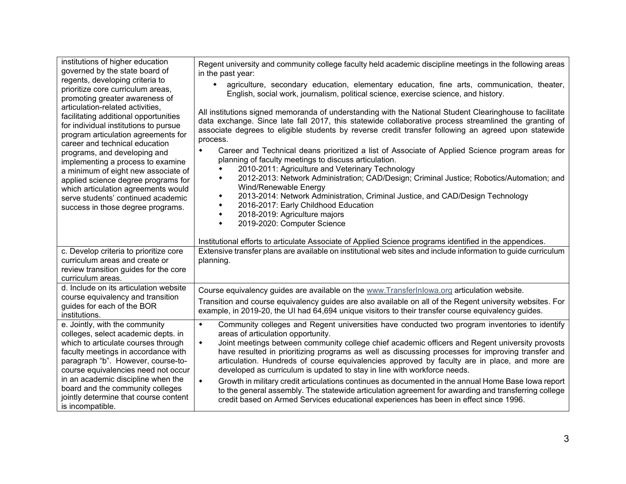| institutions of higher education<br>governed by the state board of<br>regents, developing criteria to<br>prioritize core curriculum areas,<br>promoting greater awareness of<br>articulation-related activities,<br>facilitating additional opportunities<br>for individual institutions to pursue<br>program articulation agreements for<br>career and technical education<br>programs, and developing and<br>implementing a process to examine<br>a minimum of eight new associate of<br>applied science degree programs for<br>which articulation agreements would<br>serve students' continued academic<br>success in those degree programs. | Regent university and community college faculty held academic discipline meetings in the following areas<br>in the past year:<br>agriculture, secondary education, elementary education, fine arts, communication, theater,<br>$\bullet$<br>English, social work, journalism, political science, exercise science, and history.<br>All institutions signed memoranda of understanding with the National Student Clearinghouse to facilitate<br>data exchange. Since late fall 2017, this statewide collaborative process streamlined the granting of<br>associate degrees to eligible students by reverse credit transfer following an agreed upon statewide<br>process.<br>Career and Technical deans prioritized a list of Associate of Applied Science program areas for<br>٠<br>planning of faculty meetings to discuss articulation.                                                |  |  |  |  |  |  |  |  |
|--------------------------------------------------------------------------------------------------------------------------------------------------------------------------------------------------------------------------------------------------------------------------------------------------------------------------------------------------------------------------------------------------------------------------------------------------------------------------------------------------------------------------------------------------------------------------------------------------------------------------------------------------|------------------------------------------------------------------------------------------------------------------------------------------------------------------------------------------------------------------------------------------------------------------------------------------------------------------------------------------------------------------------------------------------------------------------------------------------------------------------------------------------------------------------------------------------------------------------------------------------------------------------------------------------------------------------------------------------------------------------------------------------------------------------------------------------------------------------------------------------------------------------------------------|--|--|--|--|--|--|--|--|
|                                                                                                                                                                                                                                                                                                                                                                                                                                                                                                                                                                                                                                                  | 2010-2011: Agriculture and Veterinary Technology<br>2012-2013: Network Administration; CAD/Design; Criminal Justice; Robotics/Automation; and<br>٠<br>Wind/Renewable Energy<br>2013-2014: Network Administration, Criminal Justice, and CAD/Design Technology<br>۰<br>2016-2017: Early Childhood Education<br>2018-2019: Agriculture majors<br>۰<br>2019-2020: Computer Science<br>۰<br>Institutional efforts to articulate Associate of Applied Science programs identified in the appendices.                                                                                                                                                                                                                                                                                                                                                                                          |  |  |  |  |  |  |  |  |
| c. Develop criteria to prioritize core<br>curriculum areas and create or<br>review transition guides for the core<br>curriculum areas.                                                                                                                                                                                                                                                                                                                                                                                                                                                                                                           | Extensive transfer plans are available on institutional web sites and include information to guide curriculum<br>planning.                                                                                                                                                                                                                                                                                                                                                                                                                                                                                                                                                                                                                                                                                                                                                               |  |  |  |  |  |  |  |  |
| d. Include on its articulation website<br>course equivalency and transition<br>guides for each of the BOR<br>institutions.                                                                                                                                                                                                                                                                                                                                                                                                                                                                                                                       | Course equivalency guides are available on the www.TransferInlowa.org articulation website.<br>Transition and course equivalency guides are also available on all of the Regent university websites. For<br>example, in 2019-20, the UI had 64,694 unique visitors to their transfer course equivalency guides.                                                                                                                                                                                                                                                                                                                                                                                                                                                                                                                                                                          |  |  |  |  |  |  |  |  |
| e. Jointly, with the community<br>colleges, select academic depts. in<br>which to articulate courses through<br>faculty meetings in accordance with<br>paragraph "b". However, course-to-<br>course equivalencies need not occur<br>in an academic discipline when the<br>board and the community colleges<br>jointly determine that course content<br>is incompatible.                                                                                                                                                                                                                                                                          | Community colleges and Regent universities have conducted two program inventories to identify<br>$\blacklozenge$<br>areas of articulation opportunity.<br>Joint meetings between community college chief academic officers and Regent university provosts<br>$\blacklozenge$<br>have resulted in prioritizing programs as well as discussing processes for improving transfer and<br>articulation. Hundreds of course equivalencies approved by faculty are in place, and more are<br>developed as curriculum is updated to stay in line with workforce needs.<br>$\blacklozenge$<br>Growth in military credit articulations continues as documented in the annual Home Base lowa report<br>to the general assembly. The statewide articulation agreement for awarding and transferring college<br>credit based on Armed Services educational experiences has been in effect since 1996. |  |  |  |  |  |  |  |  |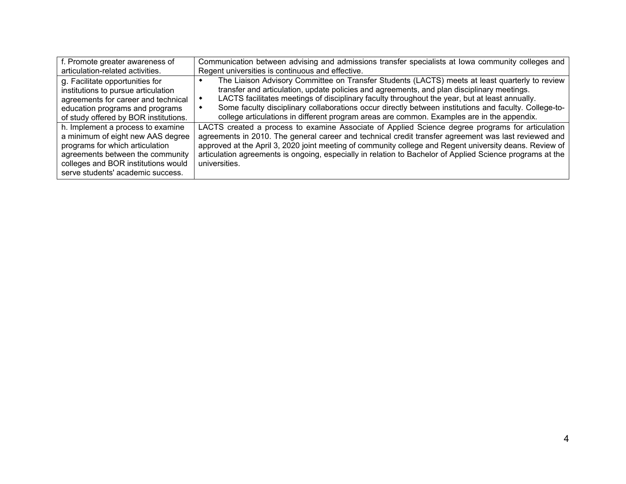| f. Promote greater awareness of                                                                                                                                                                                           | Communication between advising and admissions transfer specialists at lowa community colleges and                                                                                                                                                                                                                                                                                                                                                                                                     |
|---------------------------------------------------------------------------------------------------------------------------------------------------------------------------------------------------------------------------|-------------------------------------------------------------------------------------------------------------------------------------------------------------------------------------------------------------------------------------------------------------------------------------------------------------------------------------------------------------------------------------------------------------------------------------------------------------------------------------------------------|
| articulation-related activities.                                                                                                                                                                                          | Regent universities is continuous and effective.                                                                                                                                                                                                                                                                                                                                                                                                                                                      |
| g. Facilitate opportunities for<br>institutions to pursue articulation<br>agreements for career and technical<br>education programs and programs<br>of study offered by BOR institutions.                                 | The Liaison Advisory Committee on Transfer Students (LACTS) meets at least quarterly to review<br>transfer and articulation, update policies and agreements, and plan disciplinary meetings.<br>LACTS facilitates meetings of disciplinary faculty throughout the year, but at least annually.<br>Some faculty disciplinary collaborations occur directly between institutions and faculty. College-to-<br>college articulations in different program areas are common. Examples are in the appendix. |
| h. Implement a process to examine<br>a minimum of eight new AAS degree<br>programs for which articulation<br>agreements between the community<br>colleges and BOR institutions would<br>serve students' academic success. | LACTS created a process to examine Associate of Applied Science degree programs for articulation<br>agreements in 2010. The general career and technical credit transfer agreement was last reviewed and<br>approved at the April 3, 2020 joint meeting of community college and Regent university deans. Review of<br>articulation agreements is ongoing, especially in relation to Bachelor of Applied Science programs at the<br>universities.                                                     |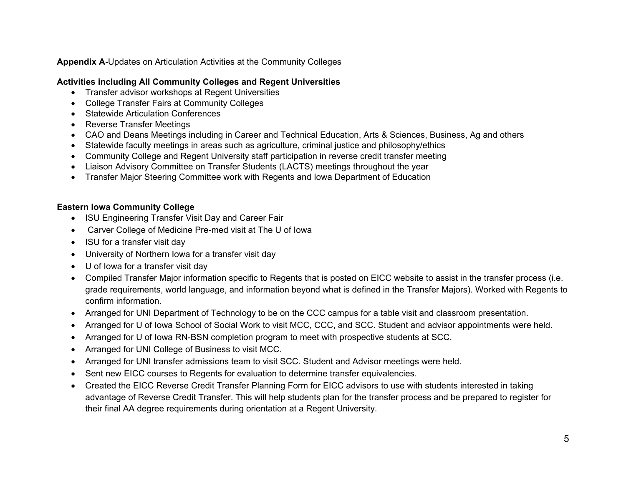## **Appendix A-**Updates on Articulation Activities at the Community Colleges

## **Activities including All Community Colleges and Regent Universities**

- Transfer advisor workshops at Regent Universities
- College Transfer Fairs at Community Colleges
- Statewide Articulation Conferences
- Reverse Transfer Meetings
- CAO and Deans Meetings including in Career and Technical Education, Arts & Sciences, Business, Ag and others
- Statewide faculty meetings in areas such as agriculture, criminal justice and philosophy/ethics
- Community College and Regent University staff participation in reverse credit transfer meeting
- Liaison Advisory Committee on Transfer Students (LACTS) meetings throughout the year
- Transfer Major Steering Committee work with Regents and Iowa Department of Education

## **Eastern Iowa Community College**

- ISU Engineering Transfer Visit Day and Career Fair
- Carver College of Medicine Pre-med visit at The U of Iowa
- ISU for a transfer visit day
- University of Northern Iowa for a transfer visit day
- U of Iowa for a transfer visit day
- Compiled Transfer Major information specific to Regents that is posted on EICC website to assist in the transfer process (i.e. grade requirements, world language, and information beyond what is defined in the Transfer Majors). Worked with Regents to confirm information.
- Arranged for UNI Department of Technology to be on the CCC campus for a table visit and classroom presentation.
- Arranged for U of Iowa School of Social Work to visit MCC, CCC, and SCC. Student and advisor appointments were held.
- Arranged for U of Iowa RN-BSN completion program to meet with prospective students at SCC.
- Arranged for UNI College of Business to visit MCC.
- Arranged for UNI transfer admissions team to visit SCC. Student and Advisor meetings were held.
- Sent new EICC courses to Regents for evaluation to determine transfer equivalencies.
- Created the EICC Reverse Credit Transfer Planning Form for EICC advisors to use with students interested in taking advantage of Reverse Credit Transfer. This will help students plan for the transfer process and be prepared to register for their final AA degree requirements during orientation at a Regent University.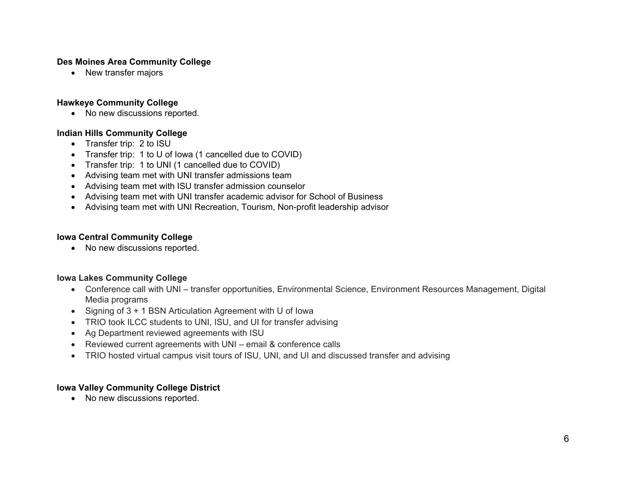## **Des Moines Area Community College**

• New transfer majors

## **Hawkeye Community College**

• No new discussions reported.

## **Indian Hills Community College**

- Transfer trip: 2 to ISU
- Transfer trip: 1 to U of Iowa (1 cancelled due to COVID)
- Transfer trip: 1 to UNI (1 cancelled due to COVID)
- Advising team met with UNI transfer admissions team
- Advising team met with ISU transfer admission counselor
- Advising team met with UNI transfer academic advisor for School of Business
- Advising team met with UNI Recreation, Tourism, Non-profit leadership advisor

## **Iowa Central Community College**

• No new discussions reported.

#### **Iowa Lakes Community College**

- Conference call with UNI transfer opportunities, Environmental Science, Environment Resources Management, Digital Media programs
- Signing of 3 + 1 BSN Articulation Agreement with U of Iowa
- TRIO took ILCC students to UNI, ISU, and UI for transfer advising
- Ag Department reviewed agreements with ISU
- Reviewed current agreements with UNI email & conference calls
- TRIO hosted virtual campus visit tours of ISU, UNI, and UI and discussed transfer and advising

### **Iowa Valley Community College District**

• No new discussions reported.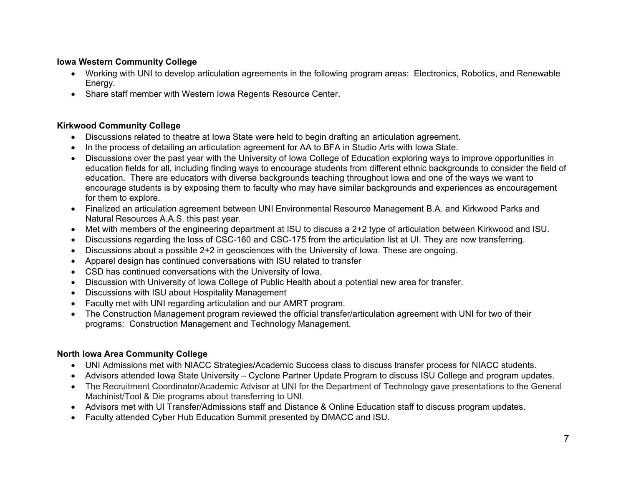## **Iowa Western Community College**

- Working with UNI to develop articulation agreements in the following program areas: Electronics, Robotics, and Renewable Energy.
- Share staff member with Western Iowa Regents Resource Center.

## **Kirkwood Community College**

- Discussions related to theatre at Iowa State were held to begin drafting an articulation agreement.
- In the process of detailing an articulation agreement for AA to BFA in Studio Arts with Iowa State.
- Discussions over the past year with the University of Iowa College of Education exploring ways to improve opportunities in education fields for all, including finding ways to encourage students from different ethnic backgrounds to consider the field of education. There are educators with diverse backgrounds teaching throughout Iowa and one of the ways we want to encourage students is by exposing them to faculty who may have similar backgrounds and experiences as encouragement for them to explore.
- Finalized an articulation agreement between UNI Environmental Resource Management B.A. and Kirkwood Parks and Natural Resources A.A.S. this past year.
- Met with members of the engineering department at ISU to discuss a 2+2 type of articulation between Kirkwood and ISU.
- Discussions regarding the loss of CSC-160 and CSC-175 from the articulation list at UI. They are now transferring.
- Discussions about a possible 2+2 in geosciences with the University of Iowa. These are ongoing.
- Apparel design has continued conversations with ISU related to transfer
- CSD has continued conversations with the University of Iowa.
- Discussion with University of Iowa College of Public Health about a potential new area for transfer.
- Discussions with ISU about Hospitality Management
- Faculty met with UNI regarding articulation and our AMRT program.
- The Construction Management program reviewed the official transfer/articulation agreement with UNI for two of their programs: Construction Management and Technology Management.

## **North Iowa Area Community College**

- UNI Admissions met with NIACC Strategies/Academic Success class to discuss transfer process for NIACC students.
- Advisors attended Iowa State University Cyclone Partner Update Program to discuss ISU College and program updates.
- The Recruitment Coordinator/Academic Advisor at UNI for the Department of Technology gave presentations to the General Machinist/Tool & Die programs about transferring to UNI.
- Advisors met with UI Transfer/Admissions staff and Distance & Online Education staff to discuss program updates.
- Faculty attended Cyber Hub Education Summit presented by DMACC and ISU.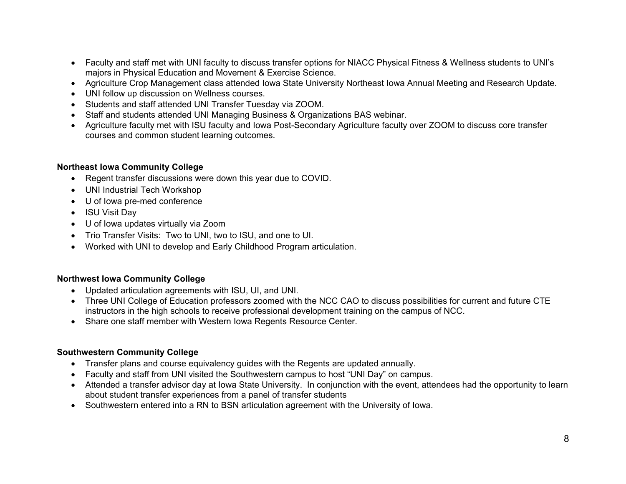- Faculty and staff met with UNI faculty to discuss transfer options for NIACC Physical Fitness & Wellness students to UNI's majors in Physical Education and Movement & Exercise Science.
- Agriculture Crop Management class attended Iowa State University Northeast Iowa Annual Meeting and Research Update.
- UNI follow up discussion on Wellness courses.
- Students and staff attended UNI Transfer Tuesday via ZOOM.
- Staff and students attended UNI Managing Business & Organizations BAS webinar.
- Agriculture faculty met with ISU faculty and Iowa Post-Secondary Agriculture faculty over ZOOM to discuss core transfer courses and common student learning outcomes.

#### **Northeast Iowa Community College**

- Regent transfer discussions were down this year due to COVID.
- UNI Industrial Tech Workshop
- U of Iowa pre-med conference
- ISU Visit Day
- U of Iowa updates virtually via Zoom
- Trio Transfer Visits: Two to UNI, two to ISU, and one to UI.
- Worked with UNI to develop and Early Childhood Program articulation.

#### **Northwest Iowa Community College**

- Updated articulation agreements with ISU, UI, and UNI.
- Three UNI College of Education professors zoomed with the NCC CAO to discuss possibilities for current and future CTE instructors in the high schools to receive professional development training on the campus of NCC.
- Share one staff member with Western Iowa Regents Resource Center.

#### **Southwestern Community College**

- Transfer plans and course equivalency guides with the Regents are updated annually.
- Faculty and staff from UNI visited the Southwestern campus to host "UNI Day" on campus.
- Attended a transfer advisor day at Iowa State University. In conjunction with the event, attendees had the opportunity to learn about student transfer experiences from a panel of transfer students
- Southwestern entered into a RN to BSN articulation agreement with the University of Iowa.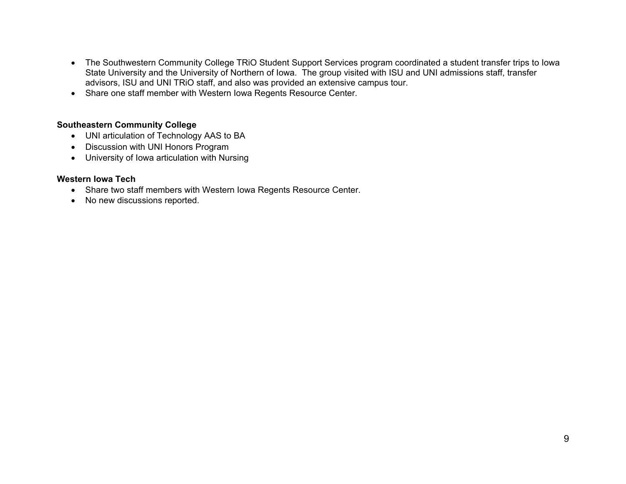- The Southwestern Community College TRiO Student Support Services program coordinated a student transfer trips to Iowa State University and the University of Northern of Iowa. The group visited with ISU and UNI admissions staff, transfer advisors, ISU and UNI TRiO staff, and also was provided an extensive campus tour.
- Share one staff member with Western Iowa Regents Resource Center.

#### **Southeastern Community College**

- UNI articulation of Technology AAS to BA
- Discussion with UNI Honors Program
- University of Iowa articulation with Nursing

#### **Western Iowa Tech**

- Share two staff members with Western Iowa Regents Resource Center.
- No new discussions reported.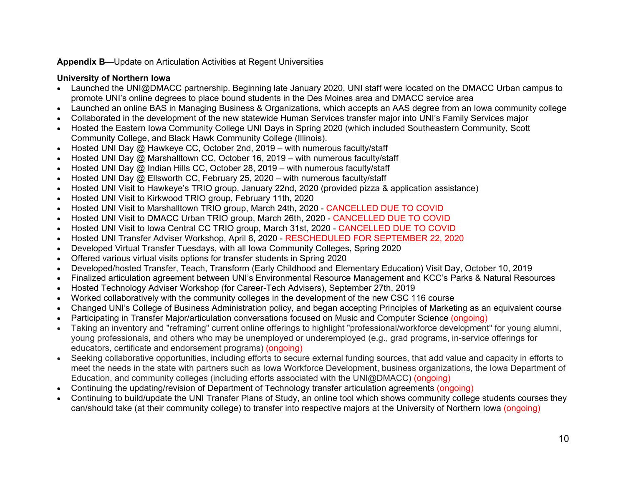## **Appendix B**—Update on Articulation Activities at Regent Universities

## **University of Northern Iowa**

- Launched the UNI@DMACC partnership. Beginning late January 2020, UNI staff were located on the DMACC Urban campus to promote UNI's online degrees to place bound students in the Des Moines area and DMACC service area
- Launched an online BAS in Managing Business & Organizations, which accepts an AAS degree from an Iowa community college
- Collaborated in the development of the new statewide Human Services transfer major into UNI's Family Services major
- Hosted the Eastern Iowa Community College UNI Days in Spring 2020 (which included Southeastern Community, Scott Community College, and Black Hawk Community College (Illinois).
- Hosted UNI Day @ Hawkeye CC, October 2nd, 2019 with numerous faculty/staff
- Hosted UNI Day @ Marshalltown CC, October 16, 2019 with numerous faculty/staff
- Hosted UNI Day  $\omega$  Indian Hills CC, October 28, 2019 with numerous faculty/staff
- Hosted UNI Day @ Ellsworth CC, February 25, 2020 with numerous faculty/staff
- Hosted UNI Visit to Hawkeye's TRIO group, January 22nd, 2020 (provided pizza & application assistance)
- Hosted UNI Visit to Kirkwood TRIO group, February 11th, 2020
- Hosted UNI Visit to Marshalltown TRIO group, March 24th, 2020 CANCELLED DUE TO COVID
- Hosted UNI Visit to DMACC Urban TRIO group, March 26th, 2020 CANCELLED DUE TO COVID
- Hosted UNI Visit to Iowa Central CC TRIO group, March 31st, 2020 CANCELLED DUE TO COVID
- Hosted UNI Transfer Adviser Workshop, April 8, 2020 RESCHEDULED FOR SEPTEMBER 22, 2020
- Developed Virtual Transfer Tuesdays, with all Iowa Community Colleges, Spring 2020
- Offered various virtual visits options for transfer students in Spring 2020
- Developed/hosted Transfer, Teach, Transform (Early Childhood and Elementary Education) Visit Day, October 10, 2019
- Finalized articulation agreement between UNI's Environmental Resource Management and KCC's Parks & Natural Resources
- Hosted Technology Adviser Workshop (for Career-Tech Advisers), September 27th, 2019
- Worked collaboratively with the community colleges in the development of the new CSC 116 course
- Changed UNI's College of Business Administration policy, and began accepting Principles of Marketing as an equivalent course
- Participating in Transfer Major/articulation conversations focused on Music and Computer Science (ongoing)
- Taking an inventory and "reframing" current online offerings to highlight "professional/workforce development" for young alumni, young professionals, and others who may be unemployed or underemployed (e.g., grad programs, in-service offerings for educators, certificate and endorsement programs) (ongoing)
- Seeking collaborative opportunities, including efforts to secure external funding sources, that add value and capacity in efforts to meet the needs in the state with partners such as Iowa Workforce Development, business organizations, the Iowa Department of Education, and community colleges (including efforts associated with the UNI@DMACC) (ongoing)
- Continuing the updating/revision of Department of Technology transfer articulation agreements (ongoing)
- Continuing to build/update the UNI Transfer Plans of Study, an online tool which shows community college students courses they can/should take (at their community college) to transfer into respective majors at the University of Northern Iowa (ongoing)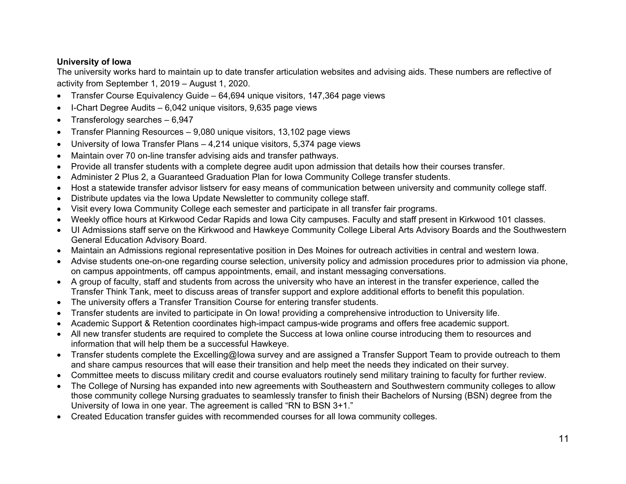## **University of Iowa**

The university works hard to maintain up to date transfer articulation websites and advising aids. These numbers are reflective of activity from September 1, 2019 – August 1, 2020.

- Transfer Course Equivalency Guide 64,694 unique visitors, 147,364 page views
- I-Chart Degree Audits 6,042 unique visitors, 9,635 page views
- Transferology searches 6,947
- Transfer Planning Resources 9,080 unique visitors, 13,102 page views
- University of Iowa Transfer Plans 4,214 unique visitors, 5,374 page views
- Maintain over 70 on-line transfer advising aids and transfer pathways.
- Provide all transfer students with a complete degree audit upon admission that details how their courses transfer.
- Administer 2 Plus 2, a Guaranteed Graduation Plan for Iowa Community College transfer students.
- Host a statewide transfer advisor listserv for easy means of communication between university and community college staff.
- Distribute updates via the Iowa Update Newsletter to community college staff.
- Visit every Iowa Community College each semester and participate in all transfer fair programs.
- Weekly office hours at Kirkwood Cedar Rapids and Iowa City campuses. Faculty and staff present in Kirkwood 101 classes.
- UI Admissions staff serve on the Kirkwood and Hawkeye Community College Liberal Arts Advisory Boards and the Southwestern General Education Advisory Board.
- Maintain an Admissions regional representative position in Des Moines for outreach activities in central and western Iowa.
- Advise students one-on-one regarding course selection, university policy and admission procedures prior to admission via phone, on campus appointments, off campus appointments, email, and instant messaging conversations.
- A group of faculty, staff and students from across the university who have an interest in the transfer experience, called the Transfer Think Tank, meet to discuss areas of transfer support and explore additional efforts to benefit this population.
- The university offers a Transfer Transition Course for entering transfer students.
- Transfer students are invited to participate in On Iowa! providing a comprehensive introduction to University life.
- Academic Support & Retention coordinates high-impact campus-wide programs and offers free academic support.
- All new transfer students are required to complete the Success at Iowa online course introducing them to resources and information that will help them be a successful Hawkeye.
- Transfer students complete the Excelling@Iowa survey and are assigned a Transfer Support Team to provide outreach to them and share campus resources that will ease their transition and help meet the needs they indicated on their survey.
- Committee meets to discuss military credit and course evaluators routinely send military training to faculty for further review.
- The College of Nursing has expanded into new agreements with Southeastern and Southwestern community colleges to allow those community college Nursing graduates to seamlessly transfer to finish their Bachelors of Nursing (BSN) degree from the University of Iowa in one year. The agreement is called "RN to BSN 3+1."
- Created Education transfer guides with recommended courses for all Iowa community colleges.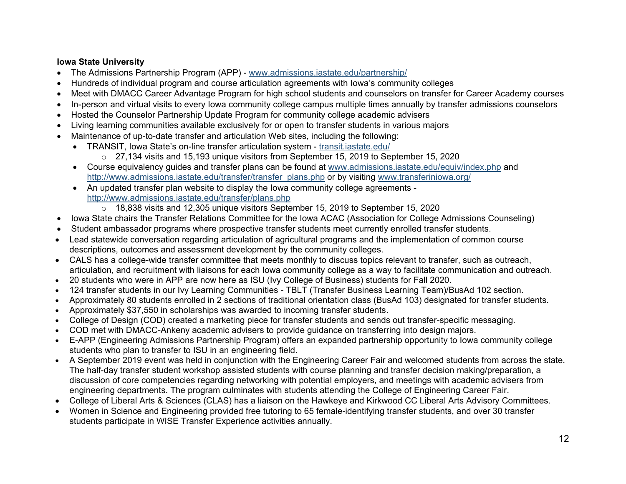## **Iowa State University**

- The Admissions Partnership Program (APP) [www.admissions.iastate.edu/partnership/](http://www.admissions.iastate.edu/partnership/)
- Hundreds of individual program and course articulation agreements with Iowa's community colleges
- Meet with DMACC Career Advantage Program for high school students and counselors on transfer for Career Academy courses
- In-person and virtual visits to every Iowa community college campus multiple times annually by transfer admissions counselors
- Hosted the Counselor Partnership Update Program for community college academic advisers
- Living learning communities available exclusively for or open to transfer students in various majors
- Maintenance of up-to-date transfer and articulation Web sites, including the following:
	- TRANSIT, Iowa State's on-line transfer articulation system [transit.iastate.edu/](https://transit.iastate.edu/)
		- o 27,134 visits and 15,193 unique visitors from September 15, 2019 to September 15, 2020
	- Course equivalency guides and transfer plans can be found at [www.admissions.iastate.edu/equiv/index.php](http://www.admissions.iastate.edu/equiv/index.php) and [http://www.admissions.iastate.edu/transfer/transfer\\_plans.php](http://www.admissions.iastate.edu/transfer/transfer_plans.php) or by visiting [www.transferiniowa.org/](http://www.transferiniowa.org/)
	- An updated transfer plan website to display the Iowa community college agreements <http://www.admissions.iastate.edu/transfer/plans.php>
		- o 18,838 visits and 12,305 unique visitors September 15, 2019 to September 15, 2020
	- Iowa State chairs the Transfer Relations Committee for the Iowa ACAC (Association for College Admissions Counseling)
- Student ambassador programs where prospective transfer students meet currently enrolled transfer students.
- Lead statewide conversation regarding articulation of agricultural programs and the implementation of common course descriptions, outcomes and assessment development by the community colleges.
- CALS has a college-wide transfer committee that meets monthly to discuss topics relevant to transfer, such as outreach, articulation, and recruitment with liaisons for each Iowa community college as a way to facilitate communication and outreach.
- 20 students who were in APP are now here as ISU (Ivy College of Business) students for Fall 2020.
- 124 transfer students in our Ivy Learning Communities TBLT (Transfer Business Learning Team)/BusAd 102 section.
- Approximately 80 students enrolled in 2 sections of traditional orientation class (BusAd 103) designated for transfer students.
- Approximately \$37,550 in scholarships was awarded to incoming transfer students.
- College of Design (COD) created a marketing piece for transfer students and sends out transfer-specific messaging.
- COD met with DMACC-Ankeny academic advisers to provide guidance on transferring into design majors.
- E-APP (Engineering Admissions Partnership Program) offers an expanded partnership opportunity to Iowa community college students who plan to transfer to ISU in an engineering field.
- A September 2019 event was held in conjunction with the Engineering Career Fair and welcomed students from across the state. The half-day transfer student workshop assisted students with course planning and transfer decision making/preparation, a discussion of core competencies regarding networking with potential employers, and meetings with academic advisers from engineering departments. The program culminates with students attending the College of Engineering Career Fair.
- College of Liberal Arts & Sciences (CLAS) has a liaison on the Hawkeye and Kirkwood CC Liberal Arts Advisory Committees.
- Women in Science and Engineering provided free tutoring to 65 female-identifying transfer students, and over 30 transfer students participate in WISE Transfer Experience activities annually.